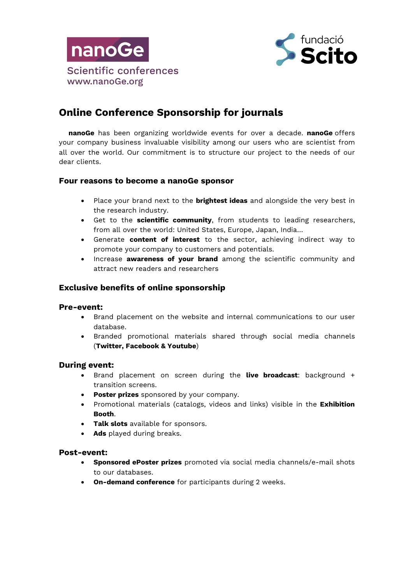



# **Online Conference Sponsorship for journals**

**nanoGe** has been organizing worldwide events for over a decade. **nanoGe** offers your company business invaluable visibility among our users who are scientist from all over the world. Our commitment is to structure our project to the needs of our dear clients.

### **Four reasons to become a nanoGe sponsor**

- Place your brand next to the **brightest ideas** and alongside the very best in the research industry.
- Get to the **scientific community**, from students to leading researchers, from all over the world: United States, Europe, Japan, India…
- Generate **content of interest** to the sector, achieving indirect way to promote your company to customers and potentials.
- Increase **awareness of your brand** among the scientific community and attract new readers and researchers

# **Exclusive benefits of online sponsorship**

#### **Pre-event:**

- Brand placement on the website and internal communications to our user database.
- Branded promotional materials shared through social media channels (**Twitter, Facebook & Youtube**)

#### **During event:**

- Brand placement on screen during the **live broadcast**: background + transition screens.
- **Poster prizes** sponsored by your company.
- Promotional materials (catalogs, videos and links) visible in the **Exhibition Booth**.
- **Talk slots** available for sponsors.
- **Ads** played during breaks.

#### **Post-event:**

- **Sponsored ePoster prizes** promoted via social media channels/e-mail shots to our databases.
- **On-demand conference** for participants during 2 weeks.